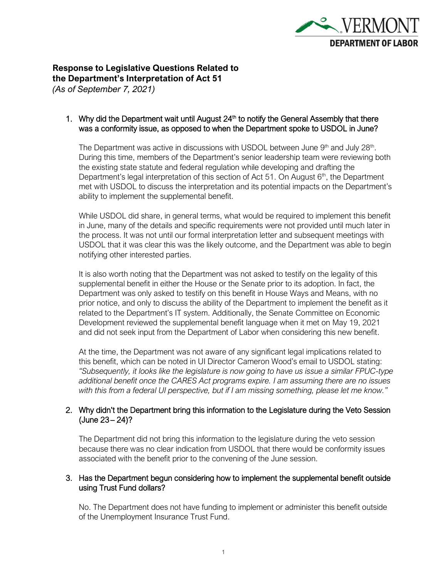

# **Response to Legislative Questions Related to the Department's Interpretation of Act 51**

*(As of September 7, 2021)*

## 1. Why did the Department wait until August  $24<sup>th</sup>$  to notify the General Assembly that there was a conformity issue, as opposed to when the Department spoke to USDOL in June?

The Department was active in discussions with USDOL between June 9<sup>th</sup> and July 28<sup>th</sup>. During this time, members of the Department's senior leadership team were reviewing both the existing state statute and federal regulation while developing and drafting the Department's legal interpretation of this section of Act 51. On August 6<sup>th</sup>, the Department met with USDOL to discuss the interpretation and its potential impacts on the Department's ability to implement the supplemental benefit.

While USDOL did share, in general terms, what would be required to implement this benefit in June, many of the details and specific requirements were not provided until much later in the process. It was not until our formal interpretation letter and subsequent meetings with USDOL that it was clear this was the likely outcome, and the Department was able to begin notifying other interested parties.

It is also worth noting that the Department was not asked to testify on the legality of this supplemental benefit in either the House or the Senate prior to its adoption. In fact, the Department was only asked to testify on this benefit in House Ways and Means, with no prior notice, and only to discuss the ability of the Department to implement the benefit as it related to the Department's IT system. Additionally, the Senate Committee on Economic Development reviewed the supplemental benefit language when it met on May 19, 2021 and did not seek input from the Department of Labor when considering this new benefit.

At the time, the Department was not aware of any significant legal implications related to this benefit, which can be noted in UI Director Cameron Wood's email to USDOL stating: *"Subsequently, it looks like the legislature is now going to have us issue a similar FPUC-type additional benefit once the CARES Act programs expire. I am assuming there are no issues with this from a federal UI perspective, but if I am missing something, please let me know."*

# 2. Why didn't the Department bring this information to the Legislature during the Veto Session (June 23 – 24)?

The Department did not bring this information to the legislature during the veto session because there was no clear indication from USDOL that there would be conformity issues associated with the benefit prior to the convening of the June session.

# 3. Has the Department begun considering how to implement the supplemental benefit outside using Trust Fund dollars?

No. The Department does not have funding to implement or administer this benefit outside of the Unemployment Insurance Trust Fund.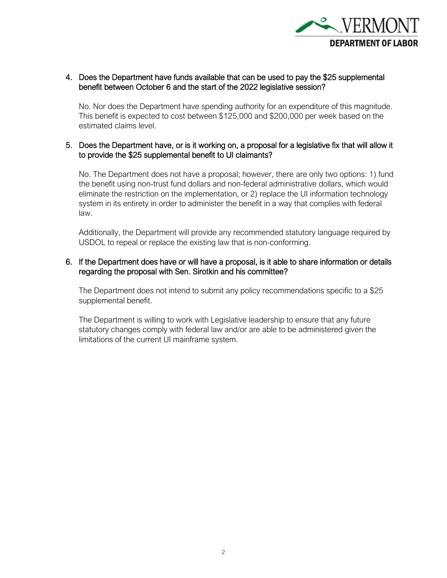

## 4. Does the Department have funds available that can be used to pay the \$25 supplemental benefit between October 6 and the start of the 2022 legislative session?

No. Nor does the Department have spending authority for an expenditure of this magnitude. This benefit is expected to cost between \$125,000 and \$200,000 per week based on the estimated claims level.

### 5. Does the Department have, or is it working on, a proposal for a legislative fix that will allow it to provide the \$25 supplemental benefit to UI claimants?

No. The Department does not have a proposal; however, there are only two options: 1) fund the benefit using non-trust fund dollars and non-federal administrative dollars, which would eliminate the restriction on the implementation, or 2) replace the UI information technology system in its entirety in order to administer the benefit in a way that complies with federal law.

Additionally, the Department will provide any recommended statutory language required by USDOL to repeal or replace the existing law that is non-conforming.

#### 6. If the Department does have or will have a proposal, is it able to share information or details regarding the proposal with Sen. Sirotkin and his committee?

The Department does not intend to submit any policy recommendations specific to a \$25 supplemental benefit.

The Department is willing to work with Legislative leadership to ensure that any future statutory changes comply with federal law and/or are able to be administered given the limitations of the current UI mainframe system.